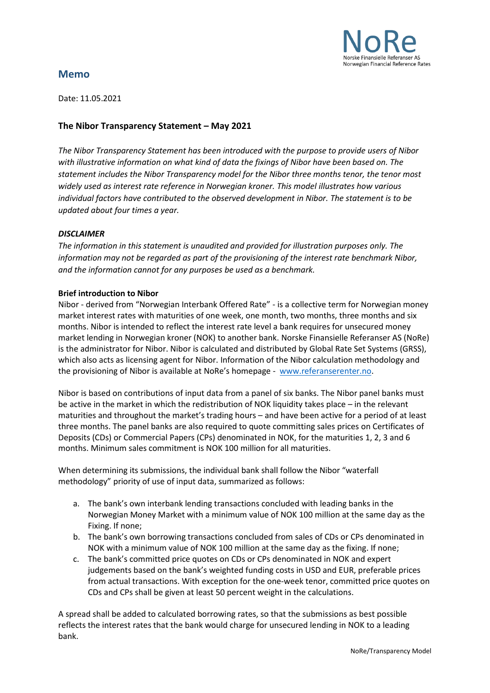

# **Memo**

Date: 11.05.2021

## **The Nibor Transparency Statement – May 2021**

*The Nibor Transparency Statement has been introduced with the purpose to provide users of Nibor with illustrative information on what kind of data the fixings of Nibor have been based on. The statement includes the Nibor Transparency model for the Nibor three months tenor, the tenor most widely used as interest rate reference in Norwegian kroner. This model illustrates how various individual factors have contributed to the observed development in Nibor. The statement is to be updated about four times a year.* 

## *DISCLAIMER*

*The information in this statement is unaudited and provided for illustration purposes only. The information may not be regarded as part of the provisioning of the interest rate benchmark Nibor, and the information cannot for any purposes be used as a benchmark.* 

## **Brief introduction to Nibor**

Nibor - derived from "Norwegian Interbank Offered Rate" - is a collective term for Norwegian money market interest rates with maturities of one week, one month, two months, three months and six months. Nibor is intended to reflect the interest rate level a bank requires for unsecured money market lending in Norwegian kroner (NOK) to another bank. Norske Finansielle Referanser AS (NoRe) is the administrator for Nibor. Nibor is calculated and distributed by Global Rate Set Systems (GRSS), which also acts as licensing agent for Nibor. Information of the Nibor calculation methodology and the provisioning of Nibor is available at NoRe's homepage - [www.referanserenter.no.](http://www.referanserenter.no/)

Nibor is based on contributions of input data from a panel of six banks. The Nibor panel banks must be active in the market in which the redistribution of NOK liquidity takes place – in the relevant maturities and throughout the market's trading hours – and have been active for a period of at least three months. The panel banks are also required to quote committing sales prices on Certificates of Deposits (CDs) or Commercial Papers (CPs) denominated in NOK, for the maturities 1, 2, 3 and 6 months. Minimum sales commitment is NOK 100 million for all maturities.

When determining its submissions, the individual bank shall follow the Nibor "waterfall methodology" priority of use of input data, summarized as follows:

- a. The bank's own interbank lending transactions concluded with leading banks in the Norwegian Money Market with a minimum value of NOK 100 million at the same day as the Fixing. If none;
- b. The bank's own borrowing transactions concluded from sales of CDs or CPs denominated in NOK with a minimum value of NOK 100 million at the same day as the fixing. If none;
- c. The bank's committed price quotes on CDs or CPs denominated in NOK and expert judgements based on the bank's weighted funding costs in USD and EUR, preferable prices from actual transactions. With exception for the one-week tenor, committed price quotes on CDs and CPs shall be given at least 50 percent weight in the calculations.

A spread shall be added to calculated borrowing rates, so that the submissions as best possible reflects the interest rates that the bank would charge for unsecured lending in NOK to a leading bank.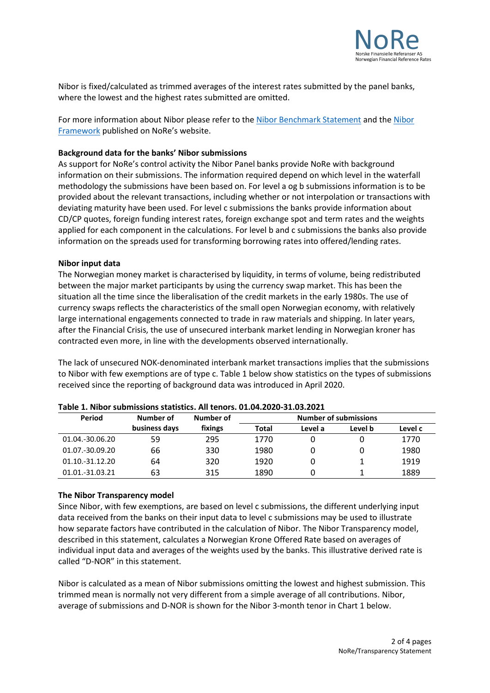

Nibor is fixed/calculated as trimmed averages of the interest rates submitted by the panel banks, where the lowest and the highest rates submitted are omitted.

For more information about Nibor please refer to the [Nibor Benchmark Statement](https://www.referanserenter.no/wp-content/uploads/2020/10/0-2-Nibor-Benchmark-Statement-V1.0.pdf) and the [Nibor](https://www.referanserenter.no/nibor-framework/)  [Framework](https://www.referanserenter.no/nibor-framework/) published on NoRe's website.

### **Background data for the banks' Nibor submissions**

As support for NoRe's control activity the Nibor Panel banks provide NoRe with background information on their submissions. The information required depend on which level in the waterfall methodology the submissions have been based on. For level a og b submissions information is to be provided about the relevant transactions, including whether or not interpolation or transactions with deviating maturity have been used. For level c submissions the banks provide information about CD/CP quotes, foreign funding interest rates, foreign exchange spot and term rates and the weights applied for each component in the calculations. For level b and c submissions the banks also provide information on the spreads used for transforming borrowing rates into offered/lending rates.

### **Nibor input data**

The Norwegian money market is characterised by liquidity, in terms of volume, being redistributed between the major market participants by using the currency swap market. This has been the situation all the time since the liberalisation of the credit markets in the early 1980s. The use of currency swaps reflects the characteristics of the small open Norwegian economy, with relatively large international engagements connected to trade in raw materials and shipping. In later years, after the Financial Crisis, the use of unsecured interbank market lending in Norwegian kroner has contracted even more, in line with the developments observed internationally.

The lack of unsecured NOK-denominated interbank market transactions implies that the submissions to Nibor with few exemptions are of type c. Table 1 below show statistics on the types of submissions received since the reporting of background data was introduced in April 2020.

| Period          | Number of     | Number of | <b>Number of submissions</b> |         |         |         |
|-----------------|---------------|-----------|------------------------------|---------|---------|---------|
|                 | business days | fixings   | Total                        | Level a | Level b | Level c |
| 01.04.-30.06.20 | 59            | 295       | 1770                         |         |         | 1770    |
| 01.07.-30.09.20 | 66            | 330       | 1980                         |         |         | 1980    |
| 01.10.-31.12.20 | 64            | 320       | 1920                         |         |         | 1919    |
| 01.01.-31.03.21 | 63            | 315       | 1890                         |         |         | 1889    |

#### **Table 1. Nibor submissions statistics. All tenors. 01.04.2020-31.03.2021**

### **The Nibor Transparency model**

Since Nibor, with few exemptions, are based on level c submissions, the different underlying input data received from the banks on their input data to level c submissions may be used to illustrate how separate factors have contributed in the calculation of Nibor. The Nibor Transparency model, described in this statement, calculates a Norwegian Krone Offered Rate based on averages of individual input data and averages of the weights used by the banks. This illustrative derived rate is called "D-NOR" in this statement.

Nibor is calculated as a mean of Nibor submissions omitting the lowest and highest submission. This trimmed mean is normally not very different from a simple average of all contributions. Nibor, average of submissions and D-NOR is shown for the Nibor 3-month tenor in Chart 1 below.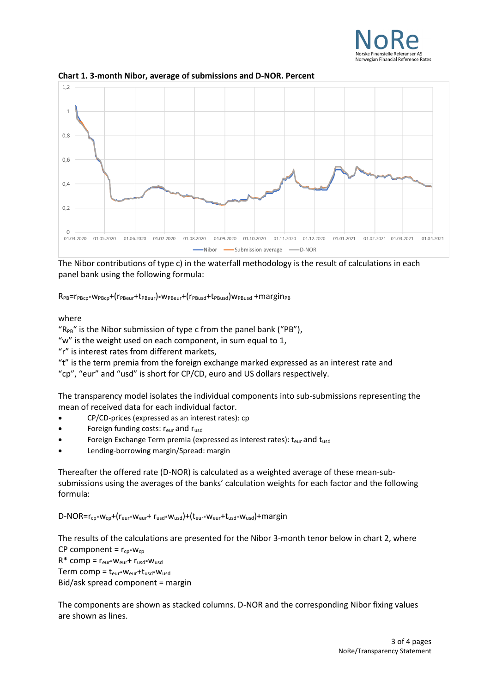



**Chart 1. 3-month Nibor, average of submissions and D-NOR. Percent**

The Nibor contributions of type c) in the waterfall methodology is the result of calculations in each panel bank using the following formula:

 $R_{PB} = r_{PBCp} * W_{PBCp} + (r_{PBeur} + t_{PBeur}) * W_{PBeur} + (r_{PBussd} + t_{PBussd}) w_{PBusd} + margin_{PBCp}$ 

## where

" $R_{PB}$ " is the Nibor submission of type c from the panel bank ("PB"),

"w" is the weight used on each component, in sum equal to 1,

"r" is interest rates from different markets,

"t" is the term premia from the foreign exchange marked expressed as an interest rate and "cp", "eur" and "usd" is short for CP/CD, euro and US dollars respectively.

The transparency model isolates the individual components into sub-submissions representing the mean of received data for each individual factor.

- CP/CD-prices (expressed as an interest rates): cp
- Foreign funding costs:  $r_{\text{eur}}$  and  $r_{\text{usd}}$
- Foreign Exchange Term premia (expressed as interest rates):  $t_{\text{eur}}$  and  $t_{\text{usd}}$
- Lending-borrowing margin/Spread: margin

Thereafter the offered rate (D-NOR) is calculated as a weighted average of these mean-subsubmissions using the averages of the banks' calculation weights for each factor and the following formula:

D-NOR=rcp\*wcp+(reur\*weur+ rusd\*wusd)+(teur\*weur+tusd\*wusd)+margin

The results of the calculations are presented for the Nibor 3-month tenor below in chart 2, where CP component =  $r_{\text{cn}}$ \*w<sub>cp</sub>  $R^*$  comp =  $r_{\text{eur}}$ +  $r_{\text{usd}}$ + $w_{\text{usd}}$ Term comp =  $t_{eur}*w_{eur}+t_{usd}*w_{usd}$ Bid/ask spread component = margin

The components are shown as stacked columns. D-NOR and the corresponding Nibor fixing values are shown as lines.